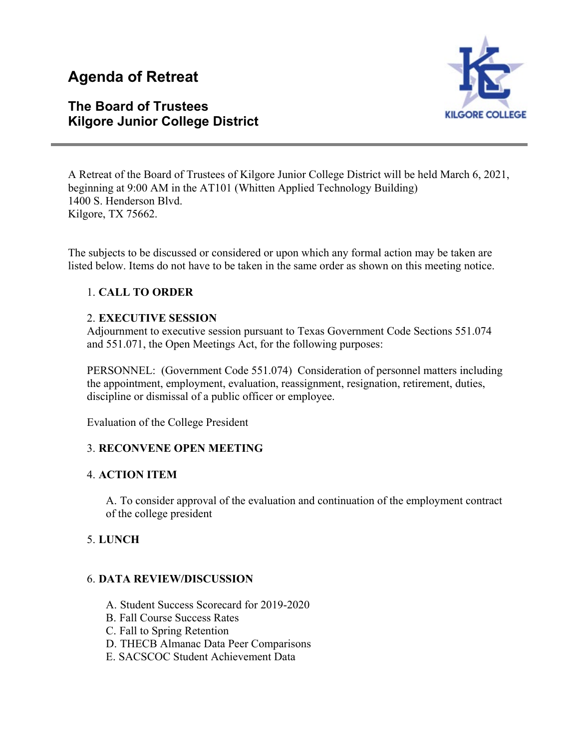# **Agenda of Retreat**

# **The Board of Trustees Kilgore Junior College District**



A Retreat of the Board of Trustees of Kilgore Junior College District will be held March 6, 2021, beginning at 9:00 AM in the AT101 (Whitten Applied Technology Building) 1400 S. Henderson Blvd. Kilgore, TX 75662.

The subjects to be discussed or considered or upon which any formal action may be taken are listed below. Items do not have to be taken in the same order as shown on this meeting notice.

# 1. **CALL TO ORDER**

# 2. **EXECUTIVE SESSION**

Adjournment to executive session pursuant to Texas Government Code Sections 551.074 and 551.071, the Open Meetings Act, for the following purposes:

PERSONNEL: (Government Code 551.074) Consideration of personnel matters including the appointment, employment, evaluation, reassignment, resignation, retirement, duties, discipline or dismissal of a public officer or employee.

Evaluation of the College President

# 3. **RECONVENE OPEN MEETING**

# 4. **ACTION ITEM**

A. To consider approval of the evaluation and continuation of the employment contract of the college president

# 5. **LUNCH**

# 6. **DATA REVIEW/DISCUSSION**

- A. Student Success Scorecard for 2019-2020
- B. Fall Course Success Rates
- C. Fall to Spring Retention
- D. THECB Almanac Data Peer Comparisons
- E. SACSCOC Student Achievement Data